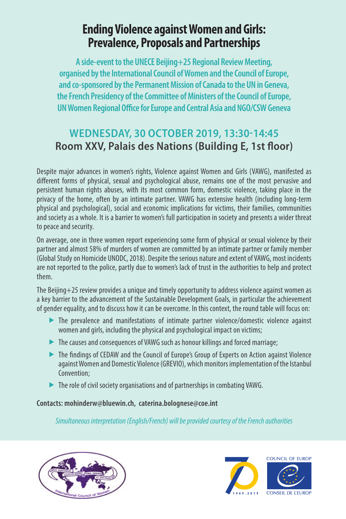# **Ending Violence against Women and Girls: Prevalence, Proposals and Partnerships**

**A side-event to the UNECE Beijing+25 Regional Review Meeting, organised by the International Council of Women and the Council of Europe, and co-sponsored by the Permanent Mission of Canada to the UN in Geneva, the French Presidency of the Committee of Ministers of the Council of Europe, UN Women Regional Office for Europe and Central Asia and NGO/CSW Geneva**

# **WEDNESDAY, 30 OCTOBER 2019, 13:30-14:45 Room XXV, Palais des Nations (Building E, 1st floor)**

Despite major advances in women's rights, Violence against Women and Girls (VAWG), manifested as different forms of physical, sexual and psychological abuse, remains one of the most pervasive and persistent human rights abuses, with its most common form, domestic violence, taking place in the privacy of the home, often by an intimate partner. VAWG has extensive health (including long-term physical and psychological), social and economic implications for victims, their families, communities and society as a whole. It is a barrier to women's full participation in society and presents a wider threat to peace and security.

On average, one in three women report experiencing some form of physical or sexual violence by their partner and almost 58% of murders of women are committed by an intimate partner or family member (Global Study on Homicide UNODC, 2018). Despite the serious nature and extent of VAWG, most incidents are not reported to the police, partly due to women's lack of trust in the authorities to help and protect them.

The Beijing+25 review provides a unique and timely opportunity to address violence against women as a key barrier to the advancement of the Sustainable Development Goals, in particular the achievement of gender equality, and to discuss how it can be overcome. In this context, the round table will focus on:

- $\blacktriangleright$  The prevalence and manifestations of intimate partner violence/domestic violence against women and girls, including the physical and psychological impact on victims;
- $\blacktriangleright$  The causes and consequences of VAWG such as honour killings and forced marriage;
- $\blacktriangleright$  The findings of CEDAW and the Council of Europe's Group of Experts on Action against Violence against Women and Domestic Violence (GREVIO), which monitors implementation of the Istanbul Convention;
- $\blacktriangleright$  The role of civil society organisations and of partnerships in combating VAWG.

**Contacts: mohinderw@bluewin.ch, caterina.bolognese@coe.int**

*Simultaneous interpretation (English/French) will be provided courtesy of the French authorities*